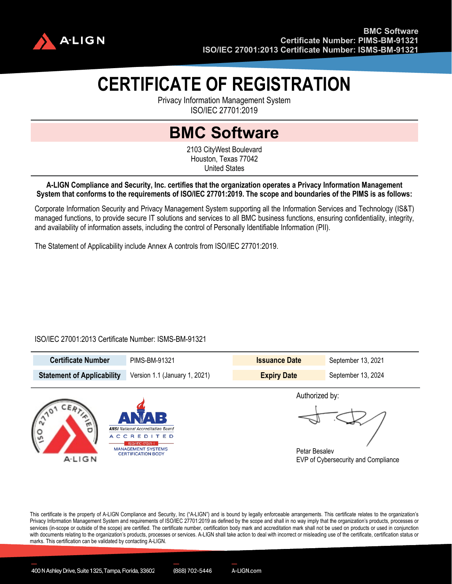

# **CERTIFICATE OF REGISTRATION**

Privacy Information Management System ISO/IEC 27701:2019

## **BMC Software**

2103 CityWest Boulevard Houston, Texas 77042 United States

#### **A-LIGN Compliance and Security, Inc. certifies that the organization operates a Privacy Information Management System that conforms to the requirements of ISO/IEC 27701:2019. The scope and boundaries of the PIMS is as follows:**

Corporate Information Security and Privacy Management System supporting all the Information Services and Technology (IS&T) managed functions, to provide secure IT solutions and services to all BMC business functions, ensuring confidentiality, integrity, and availability of information assets, including the control of Personally Identifiable Information (PII).

The Statement of Applicability include Annex A controls from ISO/IEC 27701:2019.

### ISO/IEC 27001:2013 Certificate Number: ISMS-BM-91321

| <b>Certificate Number</b>         | PIMS-BM-91321                 | <b>Issuance Date</b> | September 13, 2021 |
|-----------------------------------|-------------------------------|----------------------|--------------------|
| <b>Statement of Applicability</b> | Version 1.1 (January 1, 2021) | <b>Expiry Date</b>   | September 13, 2024 |
|                                   |                               | Authorized by:       |                    |



Petar Besalev EVP of Cybersecurity and Compliance

This certificate is the property of A-LIGN Compliance and Security, Inc ("A-LIGN") and is bound by legally enforceable arrangements. This certificate relates to the organization's Privacy Information Management System and requirements of ISO/IEC 27701:2019 as defined by the scope and shall in no way imply that the organization's products, processes or services (in-scope or outside of the scope) are certified. The certificate number, certification body mark and accreditation mark shall not be used on products or used in conjunction with documents relating to the organization's products, processes or services. A-LIGN shall take action to deal with incorrect or misleading use of the certificate, certification status or marks. This certification can be validated by contacting A-LIGN.